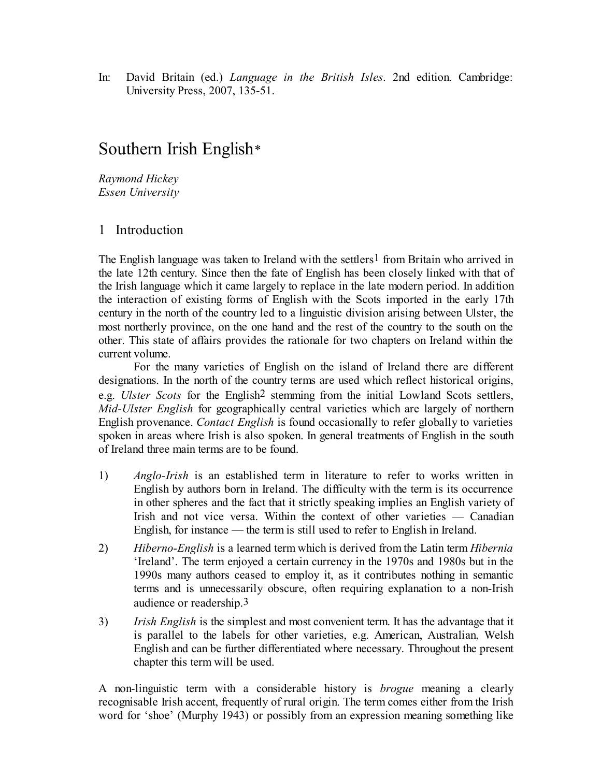In: David Britain (ed.) *Language in the British Isles*. 2nd edition. Cambridge: University Press, 2007, 135-51.

# Southern Irish English*\**

*Raymond Hickey Essen University*

## 1 Introduction

The English language was taken to Ireland with the settlers<sup>1</sup> from Britain who arrived in the late 12th century. Since then the fate of English has been closely linked with that of the Irish language which it came largely to replace in the late modern period. In addition the interaction of existing forms of English with the Scots imported in the early 17th century in the north of the country led to a linguistic division arising between Ulster, the most northerly province, on the one hand and the rest of the country to the south on the other. This state of affairs provides the rationale for two chapters on Ireland within the current volume.

For the many varieties of English on the island of Ireland there are different designations. In the north of the country terms are used which reflect historical origins, e.g. *Ulster Scots* for the English2 stemming from the initial Lowland Scots settlers, *Mid-Ulster English* for geographically central varieties which are largely of northern English provenance. *Contact English* is found occasionally to refer globally to varieties spoken in areas where Irish is also spoken. In general treatments of English in the south of Ireland three main terms are to be found.

- 1) *Anglo-Irish* is an established term in literature to refer to works written in English by authors born in Ireland. The difficulty with the term is its occurrence in other spheres and the fact that it strictly speaking implies an English variety of Irish and not vice versa. Within the context of other varieties — Canadian English, for instance — the term is still used to refer to English in Ireland.
- 2) *Hiberno-English* is a learned term which is derived from the Latin term *Hibernia* 'Ireland'. The term enjoyed a certain currency in the 1970s and 1980s but in the 1990s many authors ceased to employ it, as it contributes nothing in semantic terms and is unnecessarily obscure, often requiring explanation to a non-Irish audience or readership.3
- 3) *Irish English* is the simplest and most convenient term. It has the advantage that it is parallel to the labels for other varieties, e.g. American, Australian, Welsh English and can be further differentiated where necessary. Throughout the present chapter this term will be used.

A non-linguistic term with a considerable history is *brogue* meaning a clearly recognisable Irish accent, frequently of rural origin. The term comes either from the Irish word for 'shoe' (Murphy 1943) or possibly from an expression meaning something like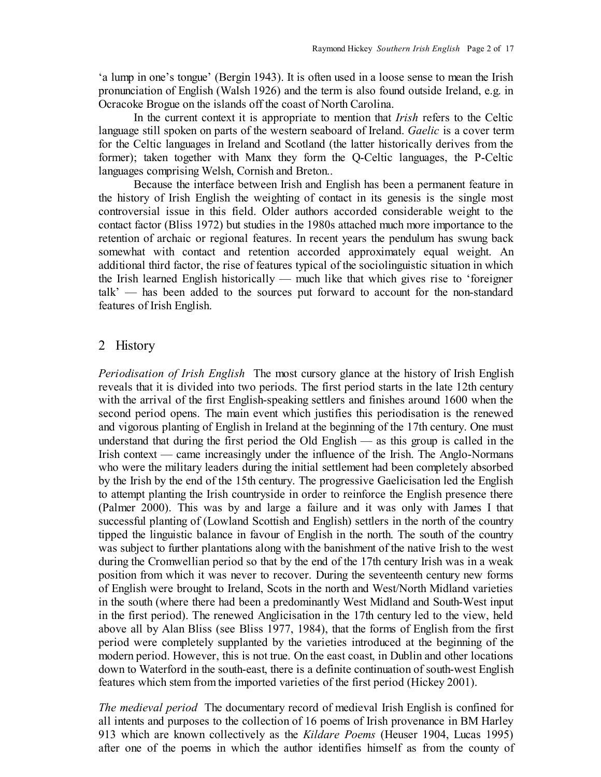'a lump in one's tongue' (Bergin 1943). It is often used in a loose sense to mean the Irish pronunciation of English (Walsh 1926) and the term is also found outside Ireland, e.g. in Ocracoke Brogue on the islands off the coast of North Carolina.

In the current context it is appropriate to mention that *Irish* refers to the Celtic language still spoken on parts of the western seaboard of Ireland. *Gaelic* is a cover term for the Celtic languages in Ireland and Scotland (the latter historically derives from the former); taken together with Manx they form the Q-Celtic languages, the P-Celtic languages comprising Welsh, Cornish and Breton..

Because the interface between Irish and English has been a permanent feature in the history of Irish English the weighting of contact in its genesis is the single most controversial issue in this field. Older authors accorded considerable weight to the contact factor (Bliss 1972) but studies in the 1980s attached much more importance to the retention of archaic or regional features. In recent years the pendulum has swung back somewhat with contact and retention accorded approximately equal weight. An additional third factor, the rise of features typical of the sociolinguistic situation in which the Irish learned English historically — much like that which gives rise to 'foreigner talk' — has been added to the sources put forward to account for the non-standard features of Irish English.

### 2 History

*Periodisation of Irish English* The most cursory glance at the history of Irish English reveals that it is divided into two periods. The first period starts in the late 12th century with the arrival of the first English-speaking settlers and finishes around 1600 when the second period opens. The main event which justifies this periodisation is the renewed and vigorous planting of English in Ireland at the beginning of the 17th century. One must understand that during the first period the Old English — as this group is called in the Irish context — came increasingly under the influence of the Irish. The Anglo-Normans who were the military leaders during the initial settlement had been completely absorbed by the Irish by the end of the 15th century. The progressive Gaelicisation led the English to attempt planting the Irish countryside in order to reinforce the English presence there (Palmer 2000). This was by and large a failure and it was only with James I that successful planting of (Lowland Scottish and English) settlers in the north of the country tipped the linguistic balance in favour of English in the north. The south of the country was subject to further plantations along with the banishment of the native Irish to the west during the Cromwellian period so that by the end of the 17th century Irish was in a weak position from which it was never to recover. During the seventeenth century new forms of English were brought to Ireland, Scots in the north and West/North Midland varieties in the south (where there had been a predominantly West Midland and South-West input in the first period). The renewed Anglicisation in the 17th century led to the view, held above all by Alan Bliss (see Bliss 1977, 1984), that the forms of English from the first period were completely supplanted by the varieties introduced at the beginning of the modern period. However, this is not true. On the east coast, in Dublin and other locations down to Waterford in the south-east, there is a definite continuation of south-west English features which stem from the imported varieties of the first period (Hickey 2001).

*The medieval period* The documentary record of medieval Irish English is confined for all intents and purposes to the collection of 16 poems of Irish provenance in BM Harley 913 which are known collectively as the *Kildare Poems* (Heuser 1904, Lucas 1995) after one of the poems in which the author identifies himself as from the county of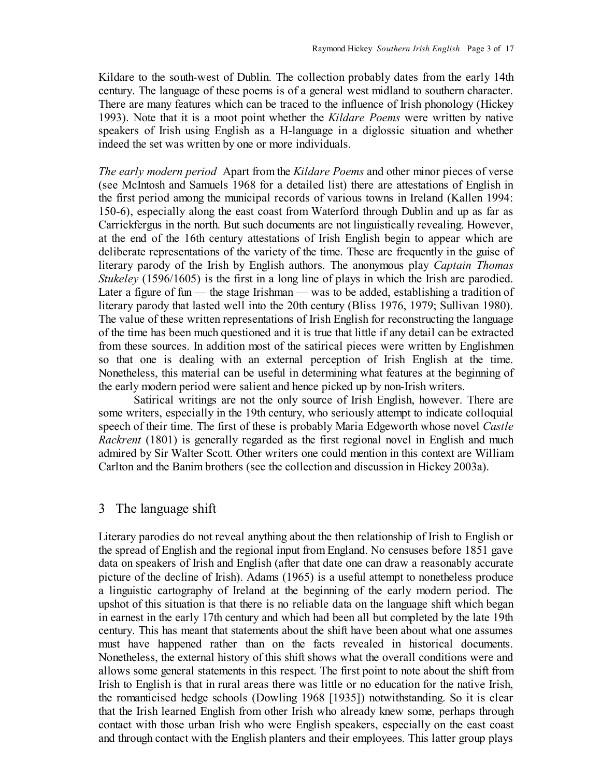Kildare to the south-west of Dublin. The collection probably dates from the early 14th century. The language of these poems is of a general west midland to southern character. There are many features which can be traced to the influence of Irish phonology (Hickey 1993). Note that it is a moot point whether the *Kildare Poems* were written by native speakers of Irish using English as a H-language in a diglossic situation and whether indeed the set was written by one or more individuals.

*The early modern period* Apart from the *Kildare Poems* and other minor pieces of verse (see McIntosh and Samuels 1968 for a detailed list) there are attestations of English in the first period among the municipal records of various towns in Ireland (Kallen 1994: 150-6), especially along the east coast from Waterford through Dublin and up as far as Carrickfergus in the north. But such documents are not linguistically revealing. However, at the end of the 16th century attestations of Irish English begin to appear which are deliberate representations of the variety of the time. These are frequently in the guise of literary parody of the Irish by English authors. The anonymous play *Captain Thomas Stukeley* (1596/1605) is the first in a long line of plays in which the Irish are parodied. Later a figure of fun — the stage Irishman — was to be added, establishing a tradition of literary parody that lasted well into the 20th century (Bliss 1976, 1979; Sullivan 1980). The value of these written representations of Irish English for reconstructing the language of the time has been much questioned and it is true that little if any detail can be extracted from these sources. In addition most of the satirical pieces were written by Englishmen so that one is dealing with an external perception of Irish English at the time. Nonetheless, this material can be useful in determining what features at the beginning of the early modern period were salient and hence picked up by non-Irish writers.

Satirical writings are not the only source of Irish English, however. There are some writers, especially in the 19th century, who seriously attempt to indicate colloquial speech of their time. The first of these is probably Maria Edgeworth whose novel *Castle Rackrent* (1801) is generally regarded as the first regional novel in English and much admired by Sir Walter Scott. Other writers one could mention in this context are William Carlton and the Banim brothers (see the collection and discussion in Hickey 2003a).

### 3 The language shift

Literary parodies do not reveal anything about the then relationship of Irish to English or the spread of English and the regional input from England. No censuses before 1851 gave data on speakers of Irish and English (after that date one can draw a reasonably accurate picture of the decline of Irish). Adams (1965) is a useful attempt to nonetheless produce a linguistic cartography of Ireland at the beginning of the early modern period. The upshot of this situation is that there is no reliable data on the language shift which began in earnest in the early 17th century and which had been all but completed by the late 19th century. This has meant that statements about the shift have been about what one assumes must have happened rather than on the facts revealed in historical documents. Nonetheless, the external history of this shift shows what the overall conditions were and allows some general statements in this respect. The first point to note about the shift from Irish to English is that in rural areas there was little or no education for the native Irish, the romanticised hedge schools (Dowling 1968 [1935]) notwithstanding. So it is clear that the Irish learned English from other Irish who already knew some, perhaps through contact with those urban Irish who were English speakers, especially on the east coast and through contact with the English planters and their employees. This latter group plays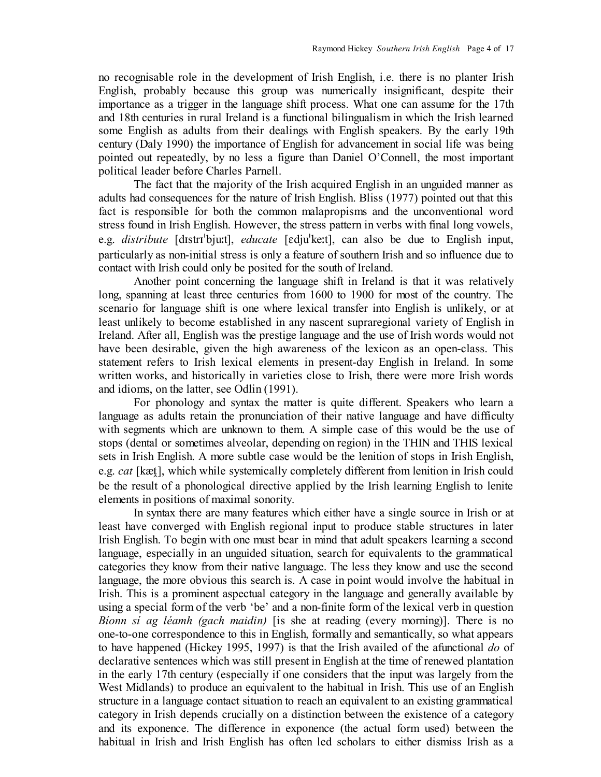no recognisable role in the development of Irish English, i.e. there is no planter Irish English, probably because this group was numerically insignificant, despite their importance as a trigger in the language shift process. What one can assume for the 17th and 18th centuries in rural Ireland is a functional bilingualism in which the Irish learned some English as adults from their dealings with English speakers. By the early 19th century (Daly 1990) the importance of English for advancement in social life was being pointed out repeatedly, by no less a figure than Daniel O'Connell, the most important political leader before Charles Parnell.

The fact that the majority of the Irish acquired English in an unguided manner as adults had consequences for the nature of Irish English. Bliss (1977) pointed out that this fact is responsible for both the common malapropisms and the unconventional word stress found in Irish English. However, the stress pattern in verbs with final long vowels, e.g. *distribute* [distri/bju:t], *educate* [edju/ke:t], can also be due to English input, particularly as non-initial stress is only a feature of southern Irish and so influence due to contact with Irish could only be posited for the south of Ireland.

Another point concerning the language shift in Ireland is that it was relatively long, spanning at least three centuries from 1600 to 1900 for most of the country. The scenario for language shift is one where lexical transfer into English is unlikely, or at least unlikely to become established in any nascent supraregional variety of English in Ireland. After all, English was the prestige language and the use of Irish words would not have been desirable, given the high awareness of the lexicon as an open-class. This statement refers to Irish lexical elements in present-day English in Ireland. In some written works, and historically in varieties close to Irish, there were more Irish words and idioms, on the latter, see Odlin (1991).

For phonology and syntax the matter is quite different. Speakers who learn a language as adults retain the pronunciation of their native language and have difficulty with segments which are unknown to them. A simple case of this would be the use of stops (dental or sometimes alveolar, depending on region) in the THIN and THIS lexical sets in Irish English. A more subtle case would be the lenition of stops in Irish English, e.g. *cat* [kæt], which while systemically completely different from lenition in Irish could be the result of a phonological directive applied by the Irish learning English to lenite elements in positions of maximal sonority.

In syntax there are many features which either have a single source in Irish or at least have converged with English regional input to produce stable structures in later Irish English. To begin with one must bear in mind that adult speakers learning a second language, especially in an unguided situation, search for equivalents to the grammatical categories they know from their native language. The less they know and use the second language, the more obvious this search is. A case in point would involve the habitual in Irish. This is a prominent aspectual category in the language and generally available by using a special form of the verb 'be' and a non-finite form of the lexical verb in question *Bíonn sí ag léamh (gach maidin)* [is she at reading (every morning)]. There is no one-to-one correspondence to this in English, formally and semantically, so what appears to have happened (Hickey 1995, 1997) is that the Irish availed of the afunctional *do* of declarative sentences which was still present in English at the time of renewed plantation in the early 17th century (especially if one considers that the input was largely from the West Midlands) to produce an equivalent to the habitual in Irish. This use of an English structure in a language contact situation to reach an equivalent to an existing grammatical category in Irish depends crucially on a distinction between the existence of a category and its exponence. The difference in exponence (the actual form used) between the habitual in Irish and Irish English has often led scholars to either dismiss Irish as a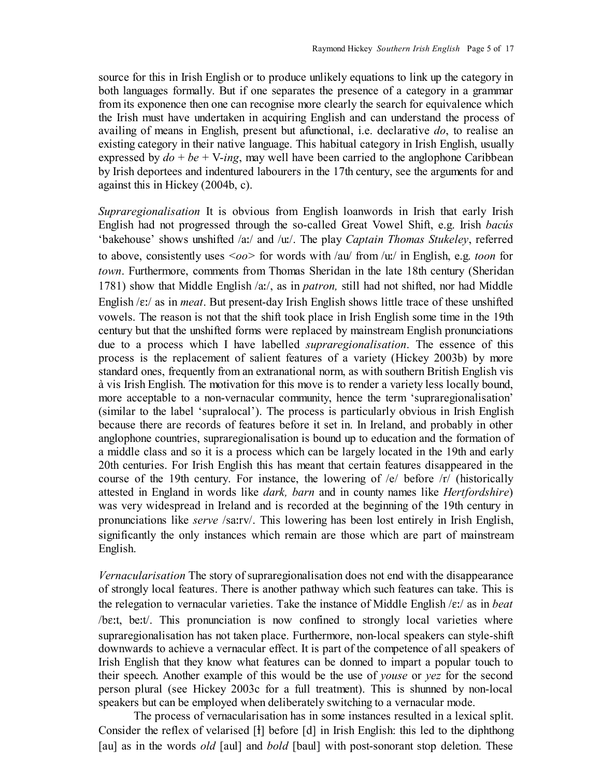source for this in Irish English or to produce unlikely equations to link up the category in both languages formally. But if one separates the presence of a category in a grammar from its exponence then one can recognise more clearly the search for equivalence which the Irish must have undertaken in acquiring English and can understand the process of availing of means in English, present but afunctional, i.e. declarative *do*, to realise an existing category in their native language. This habitual category in Irish English, usually expressed by  $d\theta + b e + V$ -*ing*, may well have been carried to the anglophone Caribbean by Irish deportees and indentured labourers in the 17th century, see the arguments for and against this in Hickey (2004b, c).

*Supraregionalisation* It is obvious from English loanwords in Irish that early Irish English had not progressed through the so-called Great Vowel Shift, e.g. Irish *bacús* 'bakehouse' shows unshifted /a:/ and /u:/. The play *Captain Thomas Stukeley*, referred to above, consistently uses *<oo>* for words with /au/ from /u:/ in English, e.g. *toon* for *town*. Furthermore, comments from Thomas Sheridan in the late 18th century (Sheridan 1781) show that Middle English /a:/, as in *patron,* still had not shifted, nor had Middle English /e:/ as in *meat*. But present-day Irish English shows little trace of these unshifted vowels. The reason is not that the shift took place in Irish English some time in the 19th century but that the unshifted forms were replaced by mainstream English pronunciations due to a process which I have labelled *supraregionalisation*. The essence of this process is the replacement of salient features of a variety (Hickey 2003b) by more standard ones, frequently from an extranational norm, as with southern British English vis à vis Irish English. The motivation for this move is to render a variety less locally bound, more acceptable to a non-vernacular community, hence the term 'supraregionalisation' (similar to the label 'supralocal'). The process is particularly obvious in Irish English because there are records of features before it set in. In Ireland, and probably in other anglophone countries, supraregionalisation is bound up to education and the formation of a middle class and so it is a process which can be largely located in the 19th and early 20th centuries. For Irish English this has meant that certain features disappeared in the course of the 19th century. For instance, the lowering of /e/ before /r/ (historically attested in England in words like *dark, barn* and in county names like *Hertfordshire*) was very widespread in Ireland and is recorded at the beginning of the 19th century in pronunciations like *serve* /sa:rv/. This lowering has been lost entirely in Irish English, significantly the only instances which remain are those which are part of mainstream English.

*Vernacularisation* The story of supraregionalisation does not end with the disappearance of strongly local features. There is another pathway which such features can take. This is the relegation to vernacular varieties. Take the instance of Middle English /e:/ as in *beat* /be:t, be:t/. This pronunciation is now confined to strongly local varieties where supraregionalisation has not taken place. Furthermore, non-local speakers can style-shift downwards to achieve a vernacular effect. It is part of the competence of all speakers of Irish English that they know what features can be donned to impart a popular touch to their speech. Another example of this would be the use of *youse* or *yez* for the second person plural (see Hickey 2003c for a full treatment). This is shunned by non-local speakers but can be employed when deliberately switching to a vernacular mode.

The process of vernacularisation has in some instances resulted in a lexical split. Consider the reflex of velarised [1] before [d] in Irish English: this led to the diphthong [aul as in the words *old* [aul] and *bold* [baul] with post-sonorant stop deletion. These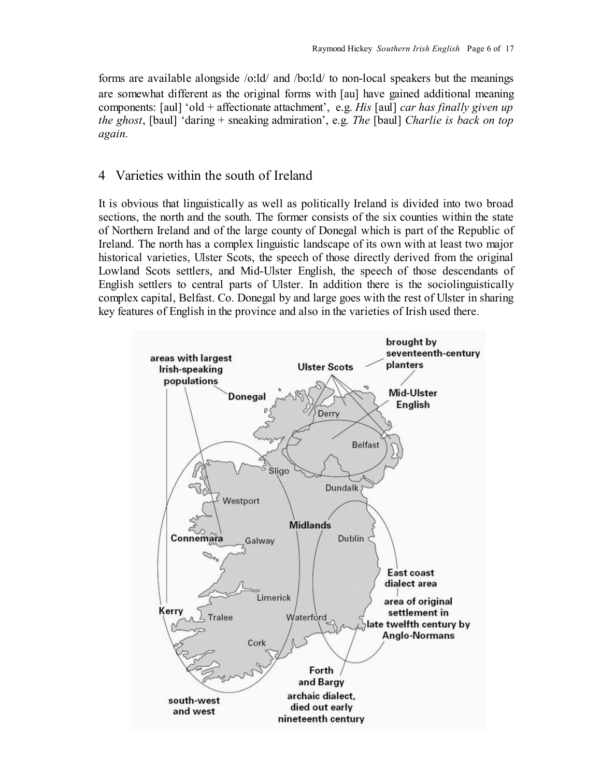forms are available alongside /o:ld/ and /bo:ld/ to non-local speakers but the meanings are somewhat different as the original forms with [au] have gained additional meaning components: [aul] 'old + affectionate attachment', e.g. *His* [aul] *car has finally given up the ghost*, [baul] 'daring + sneaking admiration', e.g. *The* [baul] *Charlie is back on top again.*

### 4 Varieties within the south of Ireland

It is obvious that linguistically as well as politically Ireland is divided into two broad sections, the north and the south. The former consists of the six counties within the state of Northern Ireland and of the large county of Donegal which is part of the Republic of Ireland. The north has a complex linguistic landscape of its own with at least two major historical varieties, Ulster Scots, the speech of those directly derived from the original Lowland Scots settlers, and Mid-Ulster English, the speech of those descendants of English settlers to central parts of Ulster. In addition there is the sociolinguistically complex capital, Belfast. Co. Donegal by and large goes with the rest of Ulster in sharing key features of English in the province and also in the varieties of Irish used there.

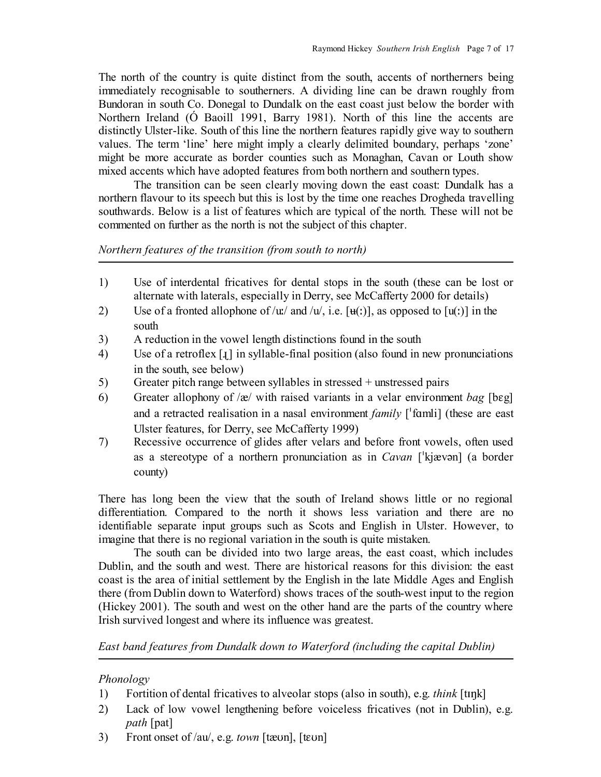The north of the country is quite distinct from the south, accents of northerners being immediately recognisable to southerners. A dividing line can be drawn roughly from Bundoran in south Co. Donegal to Dundalk on the east coast just below the border with Northern Ireland (Ó Baoill 1991, Barry 1981). North of this line the accents are distinctly Ulster-like. South of this line the northern features rapidly give way to southern values. The term 'line' here might imply a clearly delimited boundary, perhaps 'zone' might be more accurate as border counties such as Monaghan, Cavan or Louth show mixed accents which have adopted features from both northern and southern types.

The transition can be seen clearly moving down the east coast: Dundalk has a northern flavour to its speech but this is lost by the time one reaches Drogheda travelling southwards. Below is a list of features which are typical of the north. These will not be commented on further as the north is not the subject of this chapter.

#### *Northern features of the transition (from south to north)*

- 1) Use of interdental fricatives for dental stops in the south (these can be lost or alternate with laterals, especially in Derry, see McCafferty 2000 for details)
- 2) Use of a fronted allophone of /u:/ and /u/, i.e.  $[\mathbf{u}(\cdot)]$ , as opposed to  $[\mathbf{u}(\cdot)]$  in the south
- 3) A reduction in the vowel length distinctions found in the south
- 4) Use of a retroflex [1] in syllable-final position (also found in new pronunciations in the south, see below)
- 5) Greater pitch range between syllables in stressed + unstressed pairs
- 6) Greater allophony of /@/ with raised variants in a velar environment *bag* [beg] and a retracted realisation in a nasal environment *family* ['famli] (these are east Ulster features, for Derry, see McCafferty 1999)
- 7) Recessive occurrence of glides after velars and before front vowels, often used as a stereotype of a northern pronunciation as in *Cavan* ['kjævan] (a border county)

There has long been the view that the south of Ireland shows little or no regional differentiation. Compared to the north it shows less variation and there are no identifiable separate input groups such as Scots and English in Ulster. However, to imagine that there is no regional variation in the south is quite mistaken.

The south can be divided into two large areas, the east coast, which includes Dublin, and the south and west. There are historical reasons for this division: the east coast is the area of initial settlement by the English in the late Middle Ages and English there (from Dublin down to Waterford) shows traces of the south-west input to the region (Hickey 2001). The south and west on the other hand are the parts of the country where Irish survived longest and where its influence was greatest.

### *East band features from Dundalk down to Waterford (including the capital Dublin)*

### *Phonology*

- 1) Fortition of dental fricatives to alveolar stops (also in south), e.g. *think* [tink]
- 2) Lack of low vowel lengthening before voiceless fricatives (not in Dublin), e.g. *path* [pat]
- 3) Front onset of /au/, e.g. *town* [tæun], [teun]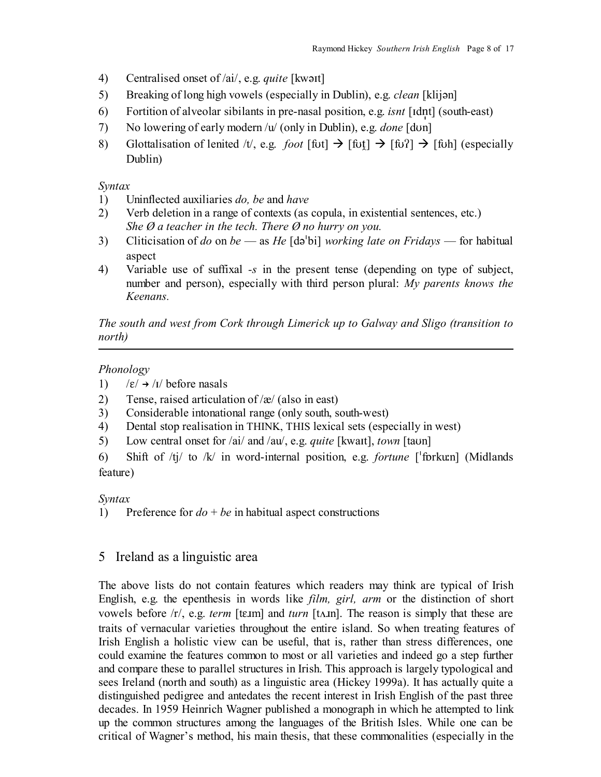- 4) Centralised onset of /ai/, e.g. *quite* [kwoit]
- 5) Breaking of long high vowels (especially in Dublin), e.g. *clean* [klijon]
- 6) Fortition of alveolar sibilants in pre-nasal position, e.g. *isnt* [idnt] (south-east)
- 7) No lowering of early modern /u/ (only in Dublin), e.g. *done* [dun]
- 8) Glottalisation of lenited /t/, e.g. *foot* [fut]  $\rightarrow$  [fut]  $\rightarrow$  [fu?]  $\rightarrow$  [fuh] (especially Dublin)

#### *Syntax*

- 1) Uninflected auxiliaries *do, be* and *have*
- 2) Verb deletion in a range of contexts (as copula, in existential sentences, etc.) *She Ø a teacher in the tech. There Ø no hurry on you.*
- 3) Cliticisation of *do* on *be* as *He* [dq/bi] *working late on Fridays* for habitual aspect
- 4) Variable use of suffixal *-s* in the present tense (depending on type of subject, number and person), especially with third person plural: *My parents knows the Keenans.*

*The south and west from Cork through Limerick up to Galway and Sligo (transition to north)*

### *Phonology*

- 1)  $\sqrt{\epsilon}/ \rightarrow /I/\text{ before}$  nasals
- 2) Tense, raised articulation of  $\alpha$  (also in east)
- 3) Considerable intonational range (only south, south-west)
- 4) Dental stop realisation in THINK, THIS lexical sets (especially in west)
- 5) Low central onset for /ai/ and /au/, e.g. *quite* [kwait], *town* [taun]

6) Shift of  $/tj$  to  $/k/$  in word-internal position, e.g. *fortune* ['forku:n] (Midlands feature)

#### *Syntax*

1) Preference for *do* + *be* in habitual aspect constructions

## 5 Ireland as a linguistic area

The above lists do not contain features which readers may think are typical of Irish English, e.g. the epenthesis in words like *film, girl, arm* or the distinction of short vowels before /r/, e.g. *term* [teim] and *turn* [t*AIn]*. The reason is simply that these are traits of vernacular varieties throughout the entire island. So when treating features of Irish English a holistic view can be useful, that is, rather than stress differences, one could examine the features common to most or all varieties and indeed go a step further and compare these to parallel structures in Irish. This approach is largely typological and sees Ireland (north and south) as a linguistic area (Hickey 1999a). It has actually quite a distinguished pedigree and antedates the recent interest in Irish English of the past three decades. In 1959 Heinrich Wagner published a monograph in which he attempted to link up the common structures among the languages of the British Isles. While one can be critical of Wagner's method, his main thesis, that these commonalities (especially in the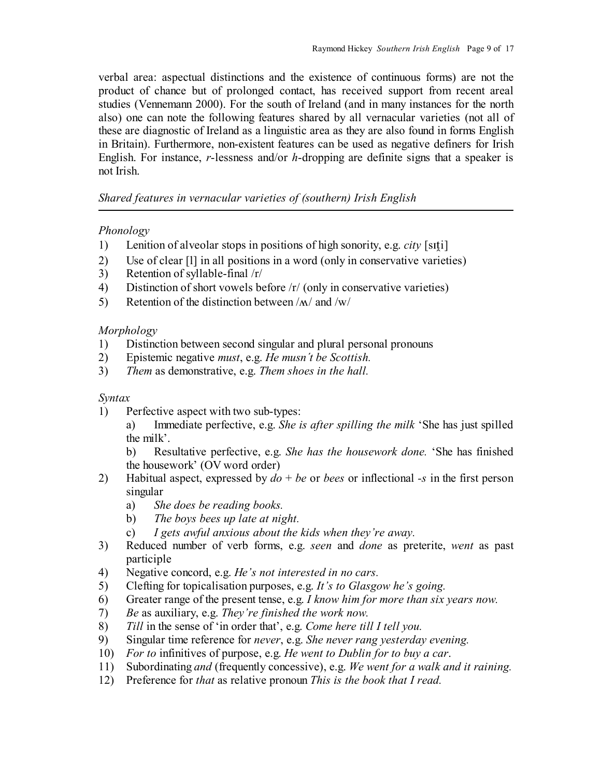verbal area: aspectual distinctions and the existence of continuous forms) are not the product of chance but of prolonged contact, has received support from recent areal studies (Vennemann 2000). For the south of Ireland (and in many instances for the north also) one can note the following features shared by all vernacular varieties (not all of these are diagnostic of Ireland as a linguistic area as they are also found in forms English in Britain). Furthermore, non-existent features can be used as negative definers for Irish English. For instance, *r*-lessness and/or *h*-dropping are definite signs that a speaker is not Irish.

### *Shared features in vernacular varieties of (southern) Irish English*

### *Phonology*

- 1) Lenition of alveolar stops in positions of high sonority, e.g. *city* [siti]
- 2) Use of clear [l] in all positions in a word (only in conservative varieties)
- 3) Retention of syllable-final /r/
- 4) Distinction of short vowels before /r/ (only in conservative varieties)
- 5) Retention of the distinction between  $/M$  and  $/w$

### *Morphology*

- 1) Distinction between second singular and plural personal pronouns
- 2) Epistemic negative *must*, e.g. *He musn´t be Scottish.*
- 3) *Them* as demonstrative, e.g. *Them shoes in the hall.*

### *Syntax*

- 1) Perfective aspect with two sub-types:
	- a) Immediate perfective, e.g. *She is after spilling the milk* 'She has just spilled the milk'.

b) Resultative perfective, e.g. *She has the housework done.* 'She has finished the housework' (OV word order)

- 2) Habitual aspect, expressed by *do* + *be* or *bees* or inflectional *-s* in the first person singular
	- a) *She does be reading books.*
	- b) *The boys bees up late at night.*
	- c) *I gets awful anxious about the kids when they're away.*
- 3) Reduced number of verb forms, e.g. *seen* and *done* as preterite, *went* as past participle
- 4) Negative concord, e.g. *He's not interested in no cars.*
- 5) Clefting for topicalisation purposes, e.g. *It's to Glasgow he's going.*
- 6) Greater range of the present tense, e.g. *I know him for more than six years now.*
- 7) *Be* as auxiliary, e.g. *They're finished the work now.*
- 8) *Till* in the sense of 'in order that', e.g. *Come here till I tell you.*
- 9) Singular time reference for *never*, e.g. *She never rang yesterday evening.*
- 10) *For to* infinitives of purpose, e.g. *He went to Dublin for to buy a car*.
- 11) Subordinating *and* (frequently concessive), e.g. *We went for a walk and it raining.*
- 12) Preference for *that* as relative pronoun *This is the book that I read.*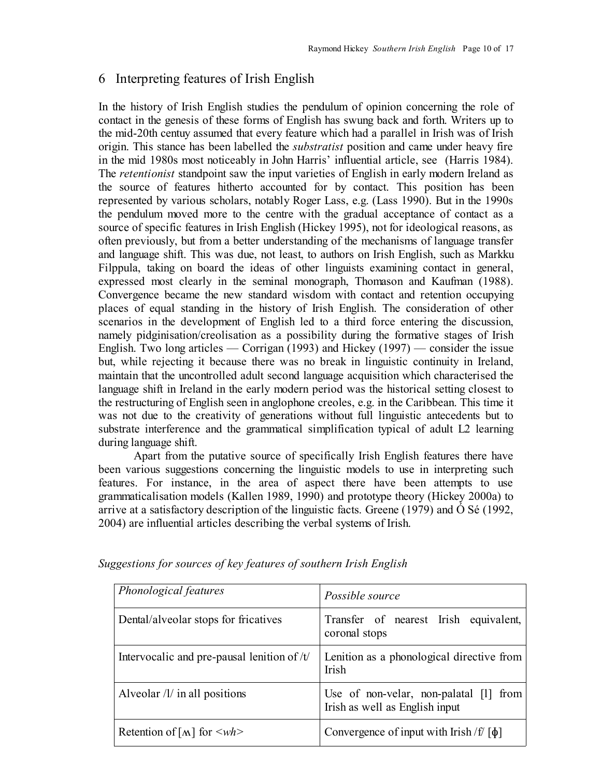### 6 Interpreting features of Irish English

In the history of Irish English studies the pendulum of opinion concerning the role of contact in the genesis of these forms of English has swung back and forth. Writers up to the mid-20th centuy assumed that every feature which had a parallel in Irish was of Irish origin. This stance has been labelled the *substratist* position and came under heavy fire in the mid 1980s most noticeably in John Harris' influential article, see (Harris 1984). The *retentionist* standpoint saw the input varieties of English in early modern Ireland as the source of features hitherto accounted for by contact. This position has been represented by various scholars, notably Roger Lass, e.g. (Lass 1990). But in the 1990s the pendulum moved more to the centre with the gradual acceptance of contact as a source of specific features in Irish English (Hickey 1995), not for ideological reasons, as often previously, but from a better understanding of the mechanisms of language transfer and language shift. This was due, not least, to authors on Irish English, such as Markku Filppula, taking on board the ideas of other linguists examining contact in general, expressed most clearly in the seminal monograph, Thomason and Kaufman (1988). Convergence became the new standard wisdom with contact and retention occupying places of equal standing in the history of Irish English. The consideration of other scenarios in the development of English led to a third force entering the discussion, namely pidginisation/creolisation as a possibility during the formative stages of Irish English. Two long articles — Corrigan (1993) and Hickey (1997) — consider the issue but, while rejecting it because there was no break in linguistic continuity in Ireland, maintain that the uncontrolled adult second language acquisition which characterised the language shift in Ireland in the early modern period was the historical setting closest to the restructuring of English seen in anglophone creoles, e.g. in the Caribbean. This time it was not due to the creativity of generations without full linguistic antecedents but to substrate interference and the grammatical simplification typical of adult L2 learning during language shift.

Apart from the putative source of specifically Irish English features there have been various suggestions concerning the linguistic models to use in interpreting such features. For instance, in the area of aspect there have been attempts to use grammaticalisation models (Kallen 1989, 1990) and prototype theory (Hickey 2000a) to arrive at a satisfactory description of the linguistic facts. Greene (1979) and Ó Sé (1992, 2004) are influential articles describing the verbal systems of Irish.

| Phonological features                         | Possible source                                                          |
|-----------------------------------------------|--------------------------------------------------------------------------|
| Dental/alveolar stops for fricatives          | Transfer of nearest Irish equivalent,<br>coronal stops                   |
| Intervocalic and pre-pausal lenition of $/t/$ | Lenition as a phonological directive from<br>Irish                       |
| Alveolar $/1/$ in all positions               | Use of non-velar, non-palatal [1] from<br>Irish as well as English input |
| Retention of [ $M$ ] for $\leq wh$            | Convergence of input with Irish /f/ $\phi$ ]                             |

*Suggestions for sources of key features of southern Irish English*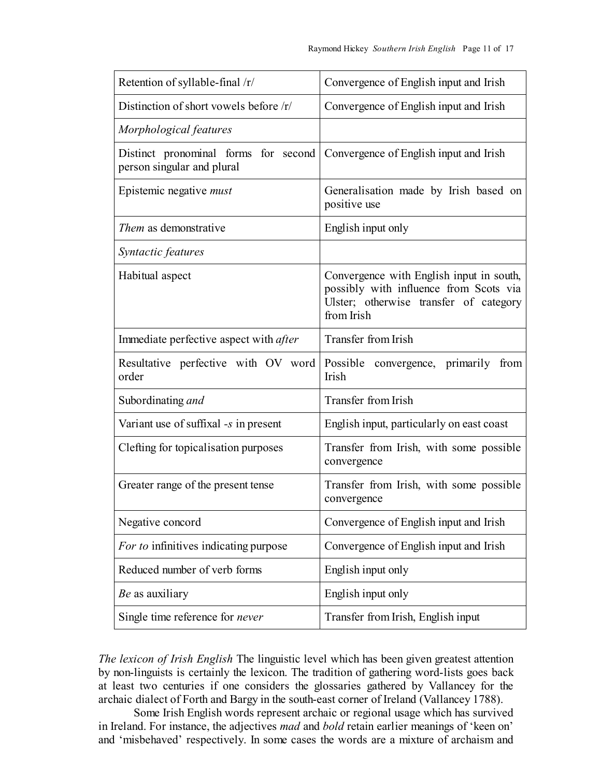| Retention of syllable-final /r/                                    | Convergence of English input and Irish                                                                                                     |
|--------------------------------------------------------------------|--------------------------------------------------------------------------------------------------------------------------------------------|
| Distinction of short vowels before $\frac{r}{r}$                   | Convergence of English input and Irish                                                                                                     |
| Morphological features                                             |                                                                                                                                            |
| Distinct pronominal forms for second<br>person singular and plural | Convergence of English input and Irish                                                                                                     |
| Epistemic negative <i>must</i>                                     | Generalisation made by Irish based on<br>positive use                                                                                      |
| <i>Them</i> as demonstrative                                       | English input only                                                                                                                         |
| Syntactic features                                                 |                                                                                                                                            |
| Habitual aspect                                                    | Convergence with English input in south,<br>possibly with influence from Scots via<br>Ulster; otherwise transfer of category<br>from Irish |
| Immediate perfective aspect with <i>after</i>                      | Transfer from Irish                                                                                                                        |
| Resultative perfective with OV word<br>order                       | Possible<br>convergence, primarily from<br>Irish                                                                                           |
| Subordinating and                                                  | Transfer from Irish                                                                                                                        |
| Variant use of suffixal -s in present                              | English input, particularly on east coast                                                                                                  |
| Clefting for topicalisation purposes                               | Transfer from Irish, with some possible<br>convergence                                                                                     |
| Greater range of the present tense                                 | Transfer from Irish, with some possible<br>convergence                                                                                     |
| Negative concord                                                   | Convergence of English input and Irish                                                                                                     |
| For to infinitives indicating purpose                              | Convergence of English input and Irish                                                                                                     |
| Reduced number of verb forms                                       | English input only                                                                                                                         |
| $Be$ as auxiliary                                                  | English input only                                                                                                                         |
| Single time reference for never                                    | Transfer from Irish, English input                                                                                                         |

*The lexicon of Irish English* The linguistic level which has been given greatest attention by non-linguists is certainly the lexicon. The tradition of gathering word-lists goes back at least two centuries if one considers the glossaries gathered by Vallancey for the archaic dialect of Forth and Bargy in the south-east corner of Ireland (Vallancey 1788).

Some Irish English words represent archaic or regional usage which has survived in Ireland. For instance, the adjectives *mad* and *bold* retain earlier meanings of 'keen on' and 'misbehaved' respectively. In some cases the words are a mixture of archaism and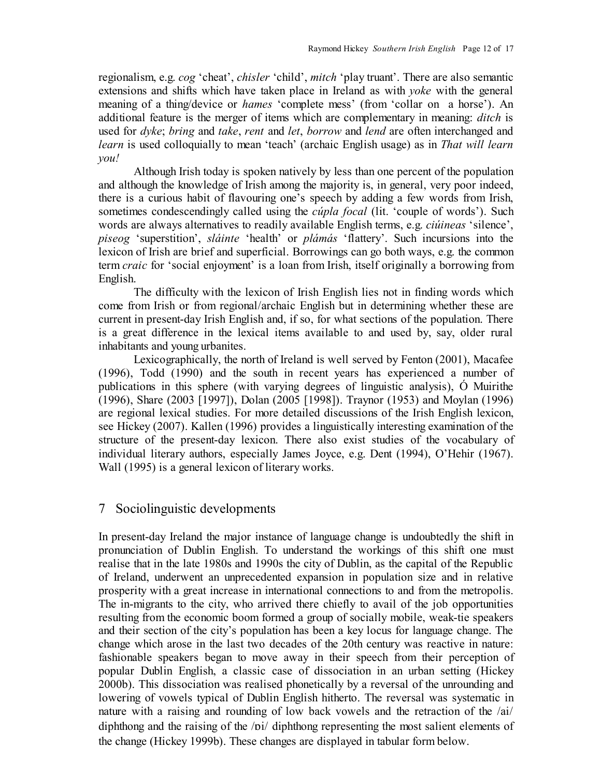regionalism, e.g. *cog* 'cheat', *chisler* 'child', *mitch* 'play truant'. There are also semantic extensions and shifts which have taken place in Ireland as with *yoke* with the general meaning of a thing/device or *hames* 'complete mess' (from 'collar on a horse'). An additional feature is the merger of items which are complementary in meaning: *ditch* is used for *dyke*; *bring* and *take*, *rent* and *let*, *borrow* and *lend* are often interchanged and *learn* is used colloquially to mean 'teach' (archaic English usage) as in *That will learn you!*

Although Irish today is spoken natively by less than one percent of the population and although the knowledge of Irish among the majority is, in general, very poor indeed, there is a curious habit of flavouring one's speech by adding a few words from Irish, sometimes condescendingly called using the *cúpla focal* (lit. 'couple of words'). Such words are always alternatives to readily available English terms, e.g. *ciúineas* 'silence', *piseog* 'superstition', *sláinte* 'health' or *plámás* 'flattery'. Such incursions into the lexicon of Irish are brief and superficial. Borrowings can go both ways, e.g. the common term *craic* for 'social enjoyment' is a loan from Irish, itself originally a borrowing from English.

The difficulty with the lexicon of Irish English lies not in finding words which come from Irish or from regional/archaic English but in determining whether these are current in present-day Irish English and, if so, for what sections of the population. There is a great difference in the lexical items available to and used by, say, older rural inhabitants and young urbanites.

Lexicographically, the north of Ireland is well served by Fenton (2001), Macafee (1996), Todd (1990) and the south in recent years has experienced a number of publications in this sphere (with varying degrees of linguistic analysis), Ó Muirithe (1996), Share (2003 [1997]), Dolan (2005 [1998]). Traynor (1953) and Moylan (1996) are regional lexical studies. For more detailed discussions of the Irish English lexicon, see Hickey (2007). Kallen (1996) provides a linguistically interesting examination of the structure of the present-day lexicon. There also exist studies of the vocabulary of individual literary authors, especially James Joyce, e.g. Dent (1994), O'Hehir (1967). Wall (1995) is a general lexicon of literary works.

### 7 Sociolinguistic developments

In present-day Ireland the major instance of language change is undoubtedly the shift in pronunciation of Dublin English. To understand the workings of this shift one must realise that in the late 1980s and 1990s the city of Dublin, as the capital of the Republic of Ireland, underwent an unprecedented expansion in population size and in relative prosperity with a great increase in international connections to and from the metropolis. The in-migrants to the city, who arrived there chiefly to avail of the job opportunities resulting from the economic boom formed a group of socially mobile, weak-tie speakers and their section of the city's population has been a key locus for language change. The change which arose in the last two decades of the 20th century was reactive in nature: fashionable speakers began to move away in their speech from their perception of popular Dublin English, a classic case of dissociation in an urban setting (Hickey 2000b). This dissociation was realised phonetically by a reversal of the unrounding and lowering of vowels typical of Dublin English hitherto. The reversal was systematic in nature with a raising and rounding of low back vowels and the retraction of the /ai/ diphthong and the raising of the  $\pi$ i/ diphthong representing the most salient elements of the change (Hickey 1999b). These changes are displayed in tabular form below.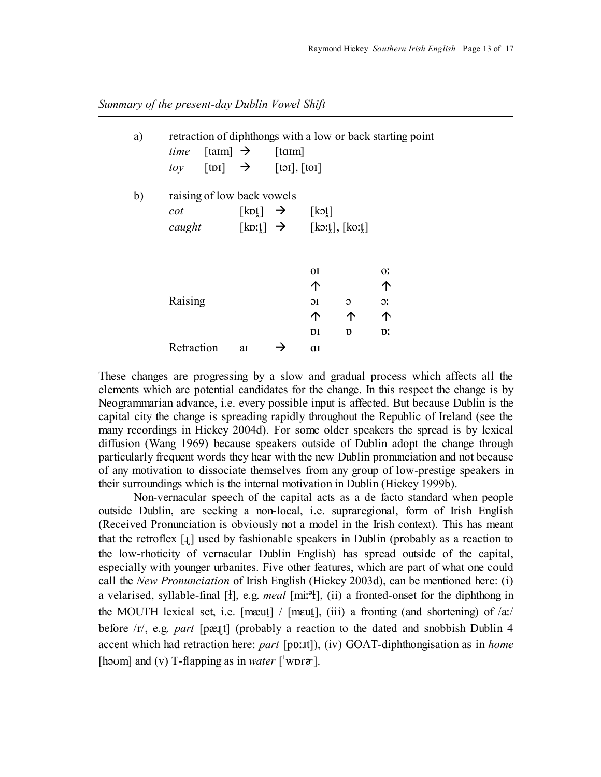|  |  | Summary of the present-day Dublin Vowel Shift |  |  |  |
|--|--|-----------------------------------------------|--|--|--|
|--|--|-----------------------------------------------|--|--|--|

| retraction of diphthongs with a low or back starting point<br>a) |                            |  |                                                                       |                                                                   |          |             |                 |
|------------------------------------------------------------------|----------------------------|--|-----------------------------------------------------------------------|-------------------------------------------------------------------|----------|-------------|-----------------|
|                                                                  | time                       |  | $\lceil \tan \theta \rceil$ $\rightarrow$ $\lceil \tan \theta \rceil$ |                                                                   |          |             |                 |
|                                                                  | toy                        |  |                                                                       | $[\text{tol}]$ $\rightarrow$ $[\text{tol}]$ , $[\text{tol}]$      |          |             |                 |
| b)                                                               | raising of low back vowels |  |                                                                       |                                                                   |          |             |                 |
|                                                                  | $\cot$                     |  | $[k_{\text{D}}(k_{\text{D}})] \rightarrow$                            |                                                                   | [kot]    |             |                 |
|                                                                  | caught                     |  |                                                                       | $[k_{\text{D}}:t] \rightarrow [k_{\text{D}}:t], [k_{\text{D}}:t]$ |          |             |                 |
|                                                                  |                            |  |                                                                       |                                                                   |          |             |                 |
|                                                                  |                            |  |                                                                       |                                                                   | ΟI       |             | O!              |
|                                                                  |                            |  |                                                                       |                                                                   | 个        |             | 个               |
|                                                                  | Raising                    |  |                                                                       |                                                                   | 1C       | $\circ$     | $\mathfrak{D}'$ |
|                                                                  |                            |  |                                                                       |                                                                   | 个        | 个           | 个               |
|                                                                  |                            |  |                                                                       |                                                                   | DI       | $\mathbf D$ | D.              |
|                                                                  | Retraction                 |  | aı                                                                    |                                                                   | <b>a</b> |             |                 |
|                                                                  |                            |  |                                                                       |                                                                   |          |             |                 |

These changes are progressing by a slow and gradual process which affects all the elements which are potential candidates for the change. In this respect the change is by Neogrammarian advance, i.e. every possible input is affected. But because Dublin is the capital city the change is spreading rapidly throughout the Republic of Ireland (see the many recordings in Hickey 2004d). For some older speakers the spread is by lexical diffusion (Wang 1969) because speakers outside of Dublin adopt the change through particularly frequent words they hear with the new Dublin pronunciation and not because of any motivation to dissociate themselves from any group of low-prestige speakers in their surroundings which is the internal motivation in Dublin (Hickey 1999b).

Non-vernacular speech of the capital acts as a de facto standard when people outside Dublin, are seeking a non-local, i.e. supraregional, form of Irish English (Received Pronunciation is obviously not a model in the Irish context). This has meant that the retroflex [5] used by fashionable speakers in Dublin (probably as a reaction to the low-rhoticity of vernacular Dublin English) has spread outside of the capital, especially with younger urbanites. Five other features, which are part of what one could call the *New Pronunciation* of Irish English (Hickey 2003d), can be mentioned here: (i) a velarised, syllable-final [1], e.g. *meal* [mi:<sup>2</sup>1], (ii) a fronted-onset for the diphthong in the MOUTH lexical set, i.e.  $[\text{mewt}] / [\text{mewt}]$ , (iii) a fronting (and shortening) of /a:/ before /r/, e.g. *part* [pæ1t] (probably a reaction to the dated and snobbish Dublin 4 accent which had retraction here: *part* [pp:*xt*]), (iv) GOAT-diphthongisation as in *home* [h $\alpha$ ] and (v) T-flapping as in *water* [ $\alpha$ ].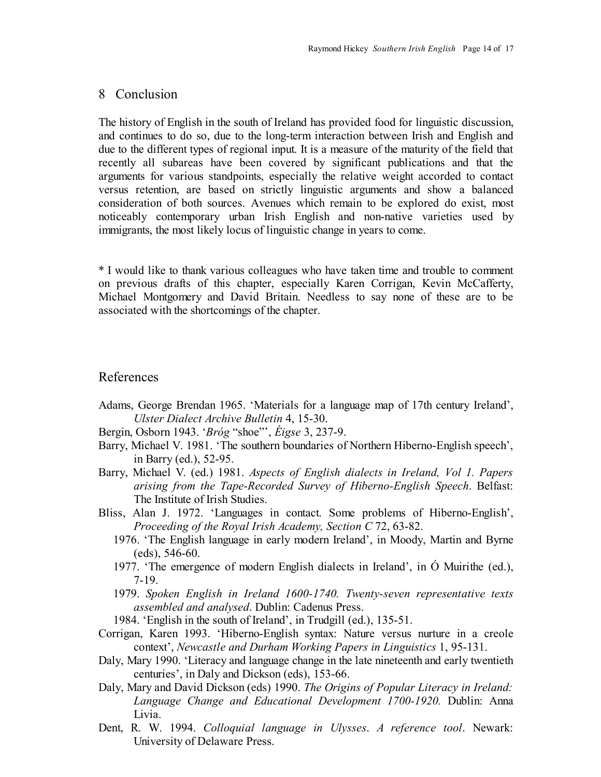### 8 Conclusion

The history of English in the south of Ireland has provided food for linguistic discussion, and continues to do so, due to the long-term interaction between Irish and English and due to the different types of regional input. It is a measure of the maturity of the field that recently all subareas have been covered by significant publications and that the arguments for various standpoints, especially the relative weight accorded to contact versus retention, are based on strictly linguistic arguments and show a balanced consideration of both sources. Avenues which remain to be explored do exist, most noticeably contemporary urban Irish English and non-native varieties used by immigrants, the most likely locus of linguistic change in years to come.

\* I would like to thank various colleagues who have taken time and trouble to comment on previous drafts of this chapter, especially Karen Corrigan, Kevin McCafferty, Michael Montgomery and David Britain. Needless to say none of these are to be associated with the shortcomings of the chapter.

### References

- Adams, George Brendan 1965. 'Materials for a language map of 17th century Ireland', *Ulster Dialect Archive Bulletin* 4, 15-30.
- Bergin, Osborn 1943. '*Bróg* "shoe"', *Éigse* 3, 237-9.
- Barry, Michael V. 1981. 'The southern boundaries of Northern Hiberno-English speech', in Barry (ed.), 52-95.
- Barry, Michael V. (ed.) 1981. *Aspects of English dialects in Ireland, Vol 1. Papers arising from the Tape-Recorded Survey of Hiberno-English Speech*. Belfast: The Institute of Irish Studies.
- Bliss, Alan J. 1972. 'Languages in contact. Some problems of Hiberno-English', *Proceeding of the Royal Irish Academy, Section C* 72, 63-82.
	- 1976. 'The English language in early modern Ireland', in Moody, Martin and Byrne (eds), 546-60.
	- 1977. 'The emergence of modern English dialects in Ireland', in Ó Muirithe (ed.), 7-19.
	- 1979. *Spoken English in Ireland 1600-1740. Twenty-seven representative texts assembled and analysed*. Dublin: Cadenus Press.
	- 1984. 'English in the south of Ireland', in Trudgill (ed.), 135-51.
- Corrigan, Karen 1993. 'Hiberno-English syntax: Nature versus nurture in a creole context', *Newcastle and Durham Working Papers in Linguistics* 1, 95-131.
- Daly, Mary 1990. 'Literacy and language change in the late nineteenth and early twentieth centuries', in Daly and Dickson (eds), 153-66.
- Daly, Mary and David Dickson (eds) 1990. *The Origins of Popular Literacy in Ireland: Language Change and Educational Development 1700-1920.* Dublin: Anna Livia.
- Dent, R. W. 1994. *Colloquial language in Ulysses*. *A reference tool*. Newark: University of Delaware Press.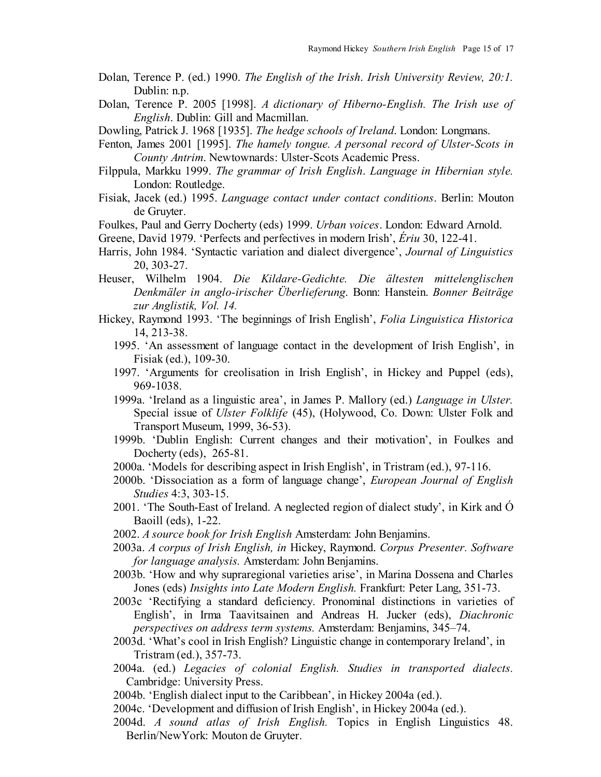- Dolan, Terence P. (ed.) 1990. *The English of the Irish*. *Irish University Review, 20:1.* Dublin: n.p.
- Dolan, Terence P. 2005 [1998]. *A dictionary of Hiberno-English. The Irish use of English*. Dublin: Gill and Macmillan.
- Dowling, Patrick J. 1968 [1935]. *The hedge schools of Ireland*. London: Longmans.
- Fenton, James 2001 [1995]. *The hamely tongue. A personal record of Ulster-Scots in County Antrim*. Newtownards: Ulster-Scots Academic Press.
- Filppula, Markku 1999. *The grammar of Irish English*. *Language in Hibernian style.* London: Routledge.
- Fisiak, Jacek (ed.) 1995. *Language contact under contact conditions*. Berlin: Mouton de Gruyter.
- Foulkes, Paul and Gerry Docherty (eds) 1999. *Urban voices*. London: Edward Arnold.
- Greene, David 1979. 'Perfects and perfectives in modern Irish', *Ériu* 30, 122-41.
- Harris, John 1984. 'Syntactic variation and dialect divergence', *Journal of Linguistics* 20, 303-27.
- Heuser, Wilhelm 1904. *Die Kildare-Gedichte. Die ältesten mittelenglischen Denkmäler in anglo-irischer Überlieferung*. Bonn: Hanstein. *Bonner Beiträge zur Anglistik, Vol. 14.*
- Hickey, Raymond 1993. 'The beginnings of Irish English', *Folia Linguistica Historica* 14, 213-38.
	- 1995. 'An assessment of language contact in the development of Irish English', in Fisiak (ed.), 109-30.
	- 1997. 'Arguments for creolisation in Irish English', in Hickey and Puppel (eds), 969-1038.
	- 1999a. 'Ireland as a linguistic area', in James P. Mallory (ed.) *Language in Ulster.* Special issue of *Ulster Folklife* (45), (Holywood, Co. Down: Ulster Folk and Transport Museum, 1999, 36-53).
	- 1999b. 'Dublin English: Current changes and their motivation', in Foulkes and Docherty (eds), 265-81.
	- 2000a. 'Models for describing aspect in Irish English', in Tristram (ed.), 97-116.
	- 2000b. 'Dissociation as a form of language change', *European Journal of English Studies* 4:3, 303-15.
	- 2001. 'The South-East of Ireland. A neglected region of dialect study', in Kirk and Ó Baoill (eds), 1-22.
	- 2002. *A source book for Irish English* Amsterdam: John Benjamins.
	- 2003a. *A corpus of Irish English, in* Hickey, Raymond. *Corpus Presenter. Software for language analysis.* Amsterdam: John Benjamins.
	- 2003b. 'How and why supraregional varieties arise', in Marina Dossena and Charles Jones (eds) *Insights into Late Modern English.* Frankfurt: Peter Lang, 351-73.
	- 2003c 'Rectifying a standard deficiency. Pronominal distinctions in varieties of English', in Irma Taavitsainen and Andreas H. Jucker (eds), *Diachronic perspectives on address term systems.* Amsterdam: Benjamins, 345–74.
	- 2003d. 'What's cool in Irish English? Linguistic change in contemporary Ireland', in Tristram (ed.), 357-73.
	- 2004a. (ed.) *Legacies of colonial English. Studies in transported dialects.* Cambridge: University Press.
	- 2004b. 'English dialect input to the Caribbean', in Hickey 2004a (ed.).
	- 2004c. 'Development and diffusion of Irish English', in Hickey 2004a (ed.).
	- 2004d. *A sound atlas of Irish English.* Topics in English Linguistics 48. Berlin/NewYork: Mouton de Gruyter.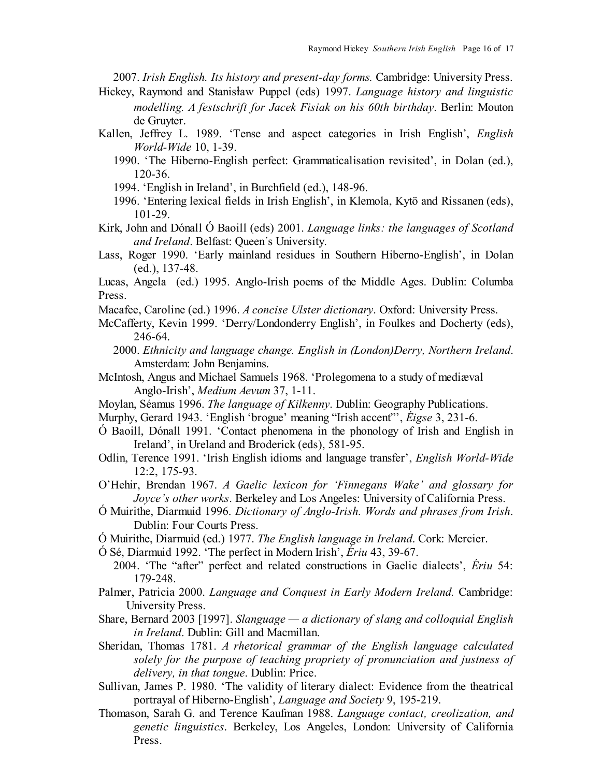2007. *Irish English. Its history and present-day forms.* Cambridge: University Press.

- Hickey, Raymond and Stanis1aw Puppel (eds) 1997. *Language history and linguistic modelling. A festschrift for Jacek Fisiak on his 60th birthday*. Berlin: Mouton de Gruyter.
- Kallen, Jeffrey L. 1989. 'Tense and aspect categories in Irish English', *English World-Wide* 10, 1-39.
	- 1990. 'The Hiberno-English perfect: Grammaticalisation revisited', in Dolan (ed.), 120-36.
	- 1994. 'English in Ireland', in Burchfield (ed.), 148-96.
	- 1996. 'Entering lexical fields in Irish English', in Klemola, Kytö and Rissanen (eds), 101-29.
- Kirk, John and Dónall Ó Baoill (eds) 2001. *Language links: the languages of Scotland and Ireland*. Belfast: Queen´s University.
- Lass, Roger 1990. 'Early mainland residues in Southern Hiberno-English', in Dolan (ed.), 137-48.

Lucas, Angela (ed.) 1995. Anglo-Irish poems of the Middle Ages. Dublin: Columba Press.

Macafee, Caroline (ed.) 1996. *A concise Ulster dictionary*. Oxford: University Press.

- McCafferty, Kevin 1999. 'Derry/Londonderry English', in Foulkes and Docherty (eds), 246-64.
	- 2000. *Ethnicity and language change. English in (London)Derry, Northern Ireland*. Amsterdam: John Benjamins.
- McIntosh, Angus and Michael Samuels 1968. 'Prolegomena to a study of mediæval Anglo-Irish', *Medium Aevum* 37, 1-11.
- Moylan, Séamus 1996. *The language of Kilkenny*. Dublin: Geography Publications.
- Murphy, Gerard 1943. 'English 'brogue' meaning "Irish accent"', *Éigse* 3, 231-6.
- Ó Baoill, Dónall 1991. 'Contact phenomena in the phonology of Irish and English in Ireland', in Ureland and Broderick (eds), 581-95.
- Odlin, Terence 1991. 'Irish English idioms and language transfer', *English World-Wide* 12:2, 175-93.
- O'Hehir, Brendan 1967. *A Gaelic lexicon for 'Finnegans Wake' and glossary for Joyce's other works*. Berkeley and Los Angeles: University of California Press.
- Ó Muirithe, Diarmuid 1996. *Dictionary of Anglo-Irish. Words and phrases from Irish*. Dublin: Four Courts Press.
- Ó Muirithe, Diarmuid (ed.) 1977. *The English language in Ireland*. Cork: Mercier.
- Ó Sé, Diarmuid 1992. 'The perfect in Modern Irish', *Ériu* 43, 39-67.
- 2004. 'The "after" perfect and related constructions in Gaelic dialects', *Ériu* 54: 179-248.
- Palmer, Patricia 2000. *Language and Conquest in Early Modern Ireland.* Cambridge: University Press.
- Share, Bernard 2003 [1997]. *Slanguage — a dictionary of slang and colloquial English in Ireland*. Dublin: Gill and Macmillan.
- Sheridan, Thomas 1781. *A rhetorical grammar of the English language calculated solely for the purpose of teaching propriety of pronunciation and justness of delivery, in that tongue*. Dublin: Price.
- Sullivan, James P. 1980. 'The validity of literary dialect: Evidence from the theatrical portrayal of Hiberno-English', *Language and Society* 9, 195-219.
- Thomason, Sarah G. and Terence Kaufman 1988. *Language contact, creolization, and genetic linguistics*. Berkeley, Los Angeles, London: University of California Press.